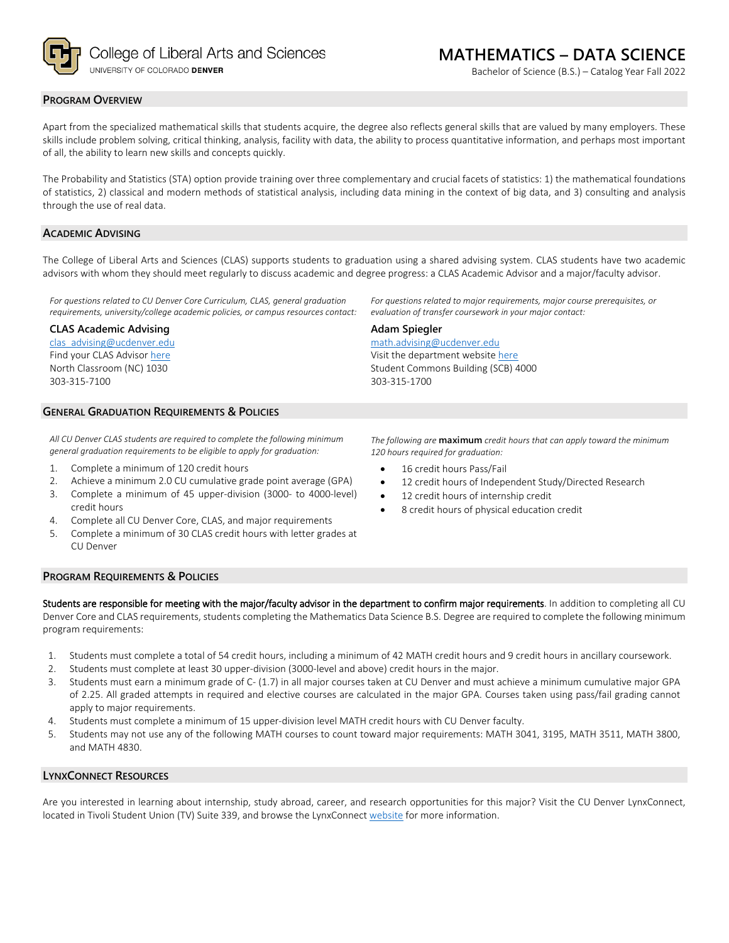

Bachelor of Science (B.S.) – Catalog Year Fall 2022

#### **PROGRAM OVERVIEW**

Apart from the specialized mathematical skills that students acquire, the degree also reflects general skills that are valued by many employers. These skills include problem solving, critical thinking, analysis, facility with data, the ability to process quantitative information, and perhaps most important of all, the ability to learn new skills and concepts quickly.

The Probability and Statistics (STA) option provide training over three complementary and crucial facets of statistics: 1) the mathematical foundations of statistics, 2) classical and modern methods of statistical analysis, including data mining in the context of big data, and 3) consulting and analysis through the use of real data.

## **ACADEMIC ADVISING**

The College of Liberal Arts and Sciences (CLAS) supports students to graduation using a shared advising system. CLAS students have two academic advisors with whom they should meet regularly to discuss academic and degree progress: a CLAS Academic Advisor and a major/faculty advisor.

**Adam Spiegler**

303-315-1700

*For questions related to CU Denver Core Curriculum, CLAS, general graduation requirements, university/college academic policies, or campus resources contact:*

#### **CLAS Academic Advising**

[clas\\_advising@ucdenver.edu](mailto:clas_advising@ucdenver.edu) Find your CLAS Adviso[r here](https://clas.ucdenver.edu/advising/) North Classroom (NC) 1030 303-315-7100

#### **GENERAL GRADUATION REQUIREMENTS & POLICIES**

*All CU Denver CLAS students are required to complete the following minimum general graduation requirements to be eligible to apply for graduation:*

- 1. Complete a minimum of 120 credit hours
- 2. Achieve a minimum 2.0 CU cumulative grade point average (GPA)
- 3. Complete a minimum of 45 upper-division (3000- to 4000-level) credit hours
- 4. Complete all CU Denver Core, CLAS, and major requirements
- 5. Complete a minimum of 30 CLAS credit hours with letter grades at CU Denver

## **PROGRAM REQUIREMENTS & POLICIES**

Students are responsible for meeting with the major/faculty advisor in the department to confirm major requirements. In addition to completing all CU Denver Core and CLAS requirements, students completing the Mathematics Data Science B.S. Degree are required to complete the following minimum program requirements:

- 1. Students must complete a total of 54 credit hours, including a minimum of 42 MATH credit hours and 9 credit hours in ancillary coursework.
- 2. Students must complete at least 30 upper-division (3000-level and above) credit hours in the major.
- 3. Students must earn a minimum grade of C- (1.7) in all major courses taken at CU Denver and must achieve a minimum cumulative major GPA of 2.25. All graded attempts in required and elective courses are calculated in the major GPA. Courses taken using pass/fail grading cannot apply to major requirements.
- 4. Students must complete a minimum of 15 upper-division level MATH credit hours with CU Denver faculty.
- 5. Students may not use any of the following MATH courses to count toward major requirements: MATH 3041, 3195, MATH 3511, MATH 3800, and MATH 4830.

#### **LYNXCONNECT RESOURCES**

Are you interested in learning about internship, study abroad, career, and research opportunities for this major? Visit the CU Denver LynxConnect, located in Tivoli Student Union (TV) Suite 339, and browse the LynxConnect [website](http://www.ucdenver.edu/lynxconnect/Pages/default.aspx) for more information.

*The following are* **maximum** *credit hours that can apply toward the minimum 120 hours required for graduation:*

*For questions related to major requirements, major course prerequisites, or* 

*evaluation of transfer coursework in your major contact:*

16 credit hours Pass/Fail

[math.advising@ucdenver.edu](mailto:math.advising@ucdenver.edu) Visit the department websit[e here](https://clas.ucdenver.edu/mathematical-and-statistical-sciences/) Student Commons Building (SCB) 4000

- 12 credit hours of Independent Study/Directed Research
- 12 credit hours of internship credit
- 8 credit hours of physical education credit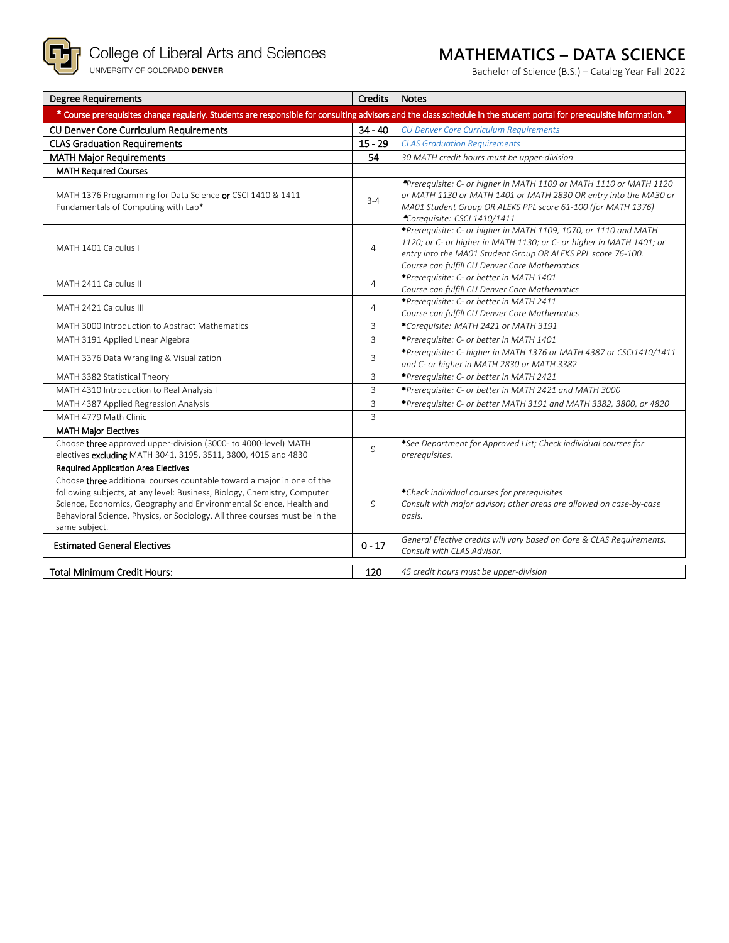

# **MATHEMATICS – DATA SCIENCE**

Bachelor of Science (B.S.) – Catalog Year Fall 2022

| <b>Degree Requirements</b>                                                                                                                                                                                                                                                                                                | Credits        | <b>Notes</b>                                                                                                                                                                                                                                              |
|---------------------------------------------------------------------------------------------------------------------------------------------------------------------------------------------------------------------------------------------------------------------------------------------------------------------------|----------------|-----------------------------------------------------------------------------------------------------------------------------------------------------------------------------------------------------------------------------------------------------------|
| * Course prerequisites change regularly. Students are responsible for consulting advisors and the class schedule in the student portal for prerequisite information. *                                                                                                                                                    |                |                                                                                                                                                                                                                                                           |
| <b>CU Denver Core Curriculum Requirements</b>                                                                                                                                                                                                                                                                             | $34 - 40$      | <b>CU Denver Core Curriculum Requirements</b>                                                                                                                                                                                                             |
| <b>CLAS Graduation Requirements</b>                                                                                                                                                                                                                                                                                       | $15 - 29$      | <b>CLAS Graduation Requirements</b>                                                                                                                                                                                                                       |
| <b>MATH Major Requirements</b>                                                                                                                                                                                                                                                                                            | 54             | 30 MATH credit hours must be upper-division                                                                                                                                                                                                               |
| <b>MATH Required Courses</b>                                                                                                                                                                                                                                                                                              |                |                                                                                                                                                                                                                                                           |
| MATH 1376 Programming for Data Science or CSCI 1410 & 1411<br>Fundamentals of Computing with Lab*                                                                                                                                                                                                                         | $3 - 4$        | *Prerequisite: C- or higher in MATH 1109 or MATH 1110 or MATH 1120<br>or MATH 1130 or MATH 1401 or MATH 2830 OR entry into the MA30 or<br>MA01 Student Group OR ALEKS PPL score 61-100 (for MATH 1376)<br>*Corequisite: CSCI 1410/1411                    |
| MATH 1401 Calculus I                                                                                                                                                                                                                                                                                                      | $\overline{4}$ | *Prerequisite: C- or higher in MATH 1109, 1070, or 1110 and MATH<br>1120; or C- or higher in MATH 1130; or C- or higher in MATH 1401; or<br>entry into the MA01 Student Group OR ALEKS PPL score 76-100.<br>Course can fulfill CU Denver Core Mathematics |
| MATH 2411 Calculus II                                                                                                                                                                                                                                                                                                     | $\overline{4}$ | *Prerequisite: C- or better in MATH 1401<br>Course can fulfill CU Denver Core Mathematics                                                                                                                                                                 |
| MATH 2421 Calculus III                                                                                                                                                                                                                                                                                                    | $\overline{4}$ | *Prerequisite: C- or better in MATH 2411<br>Course can fulfill CU Denver Core Mathematics                                                                                                                                                                 |
| MATH 3000 Introduction to Abstract Mathematics                                                                                                                                                                                                                                                                            | 3              | *Corequisite: MATH 2421 or MATH 3191                                                                                                                                                                                                                      |
| MATH 3191 Applied Linear Algebra                                                                                                                                                                                                                                                                                          | 3              | *Prerequisite: C- or better in MATH 1401                                                                                                                                                                                                                  |
| MATH 3376 Data Wrangling & Visualization                                                                                                                                                                                                                                                                                  | 3              | *Prerequisite: C- higher in MATH 1376 or MATH 4387 or CSCI1410/1411<br>and C- or higher in MATH 2830 or MATH 3382                                                                                                                                         |
| MATH 3382 Statistical Theory                                                                                                                                                                                                                                                                                              | 3              | *Prerequisite: C- or better in MATH 2421                                                                                                                                                                                                                  |
| MATH 4310 Introduction to Real Analysis I                                                                                                                                                                                                                                                                                 | $\overline{3}$ | *Prerequisite: C- or better in MATH 2421 and MATH 3000                                                                                                                                                                                                    |
| MATH 4387 Applied Regression Analysis                                                                                                                                                                                                                                                                                     | $\overline{3}$ | *Prerequisite: C- or better MATH 3191 and MATH 3382, 3800, or 4820                                                                                                                                                                                        |
| MATH 4779 Math Clinic                                                                                                                                                                                                                                                                                                     | $\overline{3}$ |                                                                                                                                                                                                                                                           |
| <b>MATH Major Electives</b>                                                                                                                                                                                                                                                                                               |                |                                                                                                                                                                                                                                                           |
| Choose three approved upper-division (3000- to 4000-level) MATH<br>electives excluding MATH 3041, 3195, 3511, 3800, 4015 and 4830                                                                                                                                                                                         | 9              | *See Department for Approved List; Check individual courses for<br>prerequisites.                                                                                                                                                                         |
| <b>Required Application Area Electives</b>                                                                                                                                                                                                                                                                                |                |                                                                                                                                                                                                                                                           |
| Choose three additional courses countable toward a major in one of the<br>following subjects, at any level: Business, Biology, Chemistry, Computer<br>Science, Economics, Geography and Environmental Science, Health and<br>Behavioral Science, Physics, or Sociology. All three courses must be in the<br>same subject. | 9              | *Check individual courses for prerequisites<br>Consult with major advisor; other areas are allowed on case-by-case<br>basis.                                                                                                                              |
| <b>Estimated General Electives</b>                                                                                                                                                                                                                                                                                        | $0 - 17$       | General Elective credits will vary based on Core & CLAS Requirements.<br>Consult with CLAS Advisor.                                                                                                                                                       |
| <b>Total Minimum Credit Hours:</b>                                                                                                                                                                                                                                                                                        | 120            | 45 credit hours must be upper-division                                                                                                                                                                                                                    |